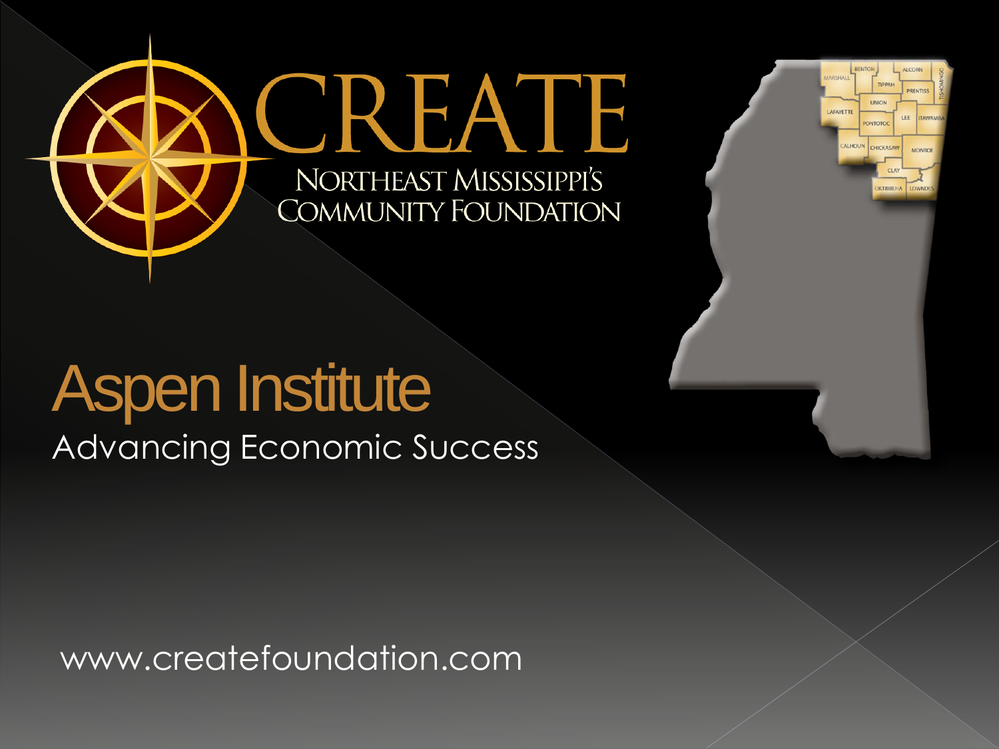



## Aspen Institute

Advancing Economic Success

www.createfoundation.com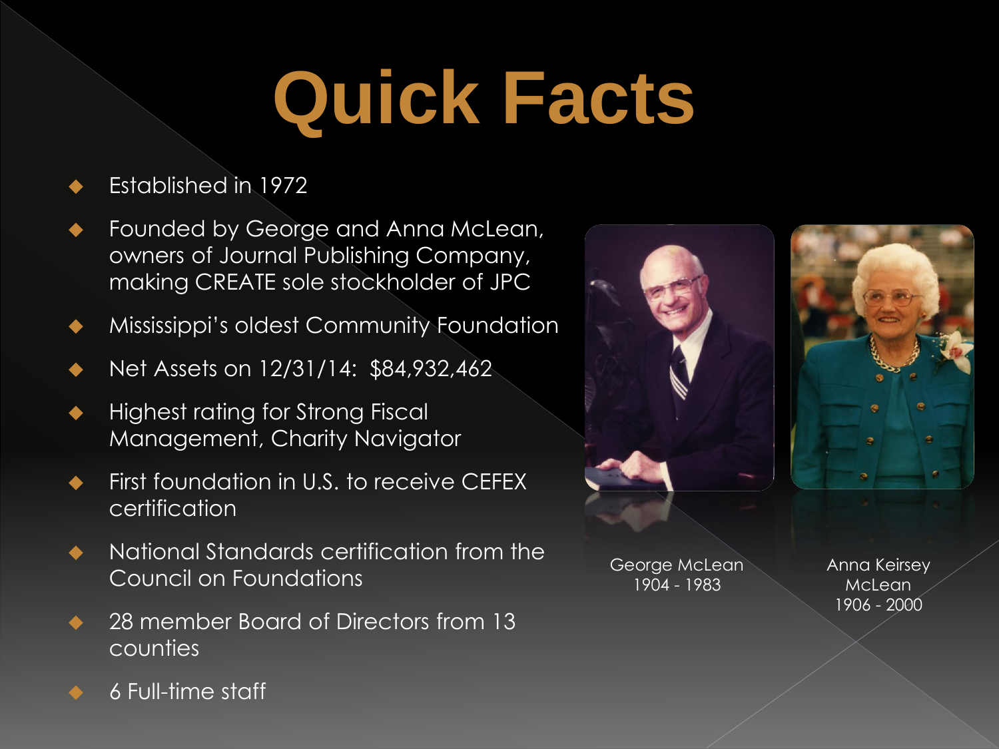# **Quick Facts**

#### Established in 1972

- Founded by George and Anna McLean, owners of Journal Publishing Company, making CREATE sole stockholder of JPC
- Mississippi's oldest Community Foundation
- Net Assets on 12/31/14: \$84,932,462
- Highest rating for Strong Fiscal Management, Charity Navigator
- First foundation in U.S. to receive CEFEX certification
- National Standards certification from the Council on Foundations
- 28 member Board of Directors from 13 counties



George McLean 1904 - 1983

Anna Keirsey McLean 1906 - 2000

6 Full-time staff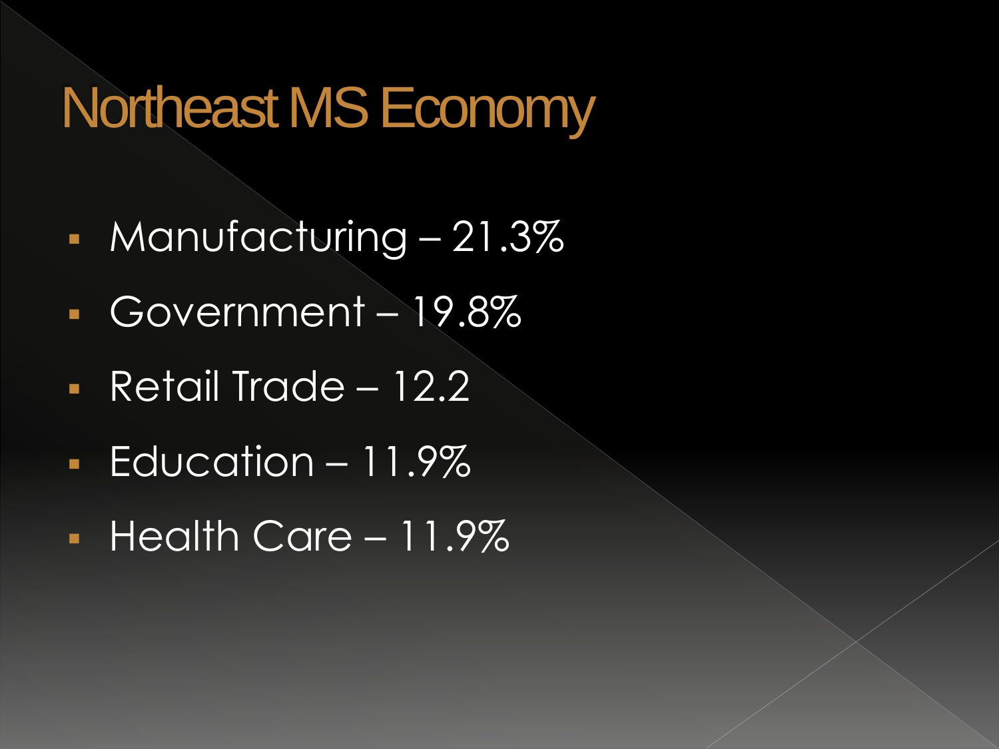### Northeast MS Economy

- Manufacturing 21.3%
- Government 19.8%
- Retail Trade 12.2
- **Education 11.9%**
- Health Care 11.9%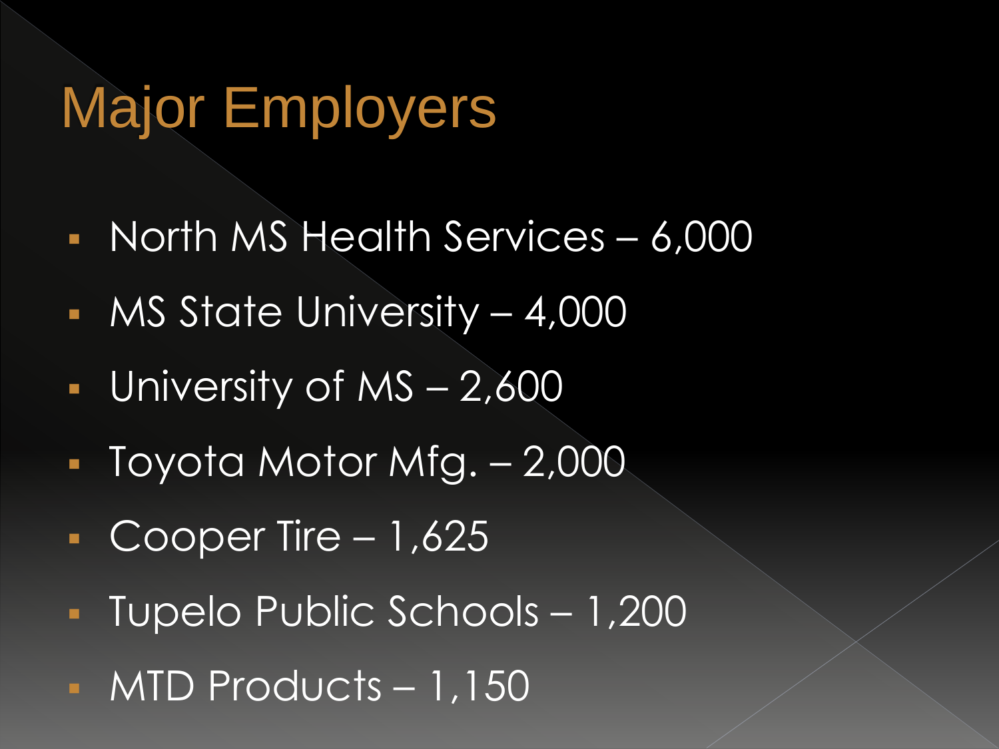## Major Employers

- North MS Health Services 6,000
- MS State University 4,000
- **University of MS**  $2,600$
- Toyota Motor Mfg. 2,000
- $\overline{\phantom{0}}$  Cooper Tire 1,625
- Tupelo Public Schools 1,200
- MTD Products 1,150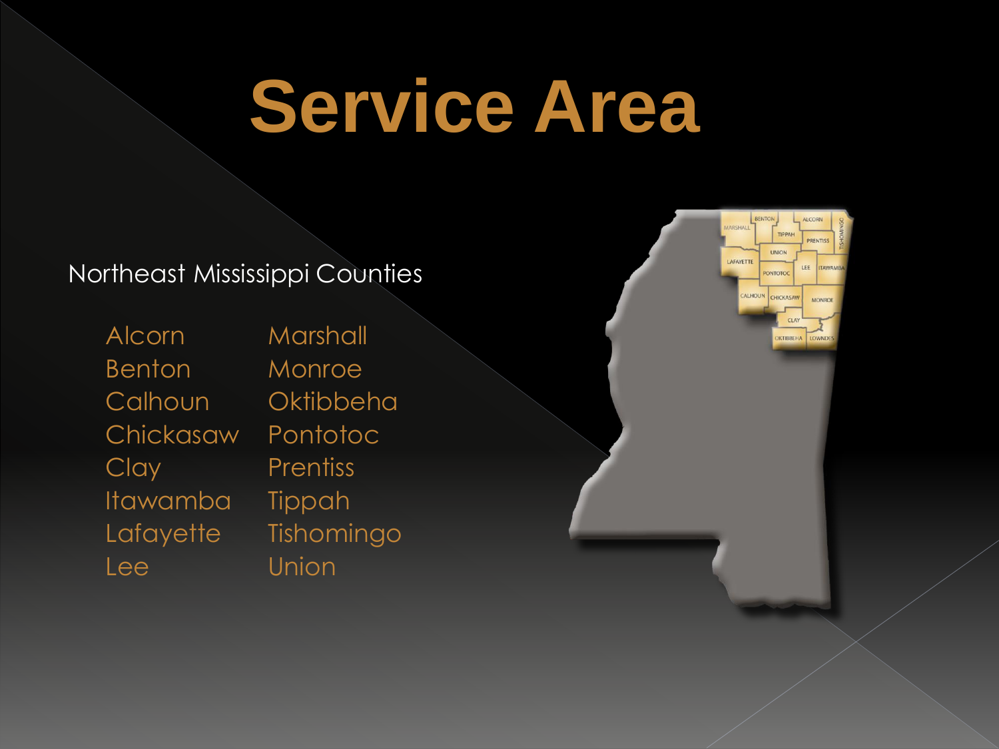# **Service Area**

#### Northeast Mississippi Counties

Alcorn Marshall Benton Monroe Calhoun Oktibbeha Chickasaw Pontotoc Clay **Prentiss** Itawamba Tippah Lafayette Tishomingo Lee Union

TIPPAL UNION AFAYETTE LEE PONTOTOC ALHOUN CHICKASAW **MONRO**  $CLA$ **DKTIBBEHA**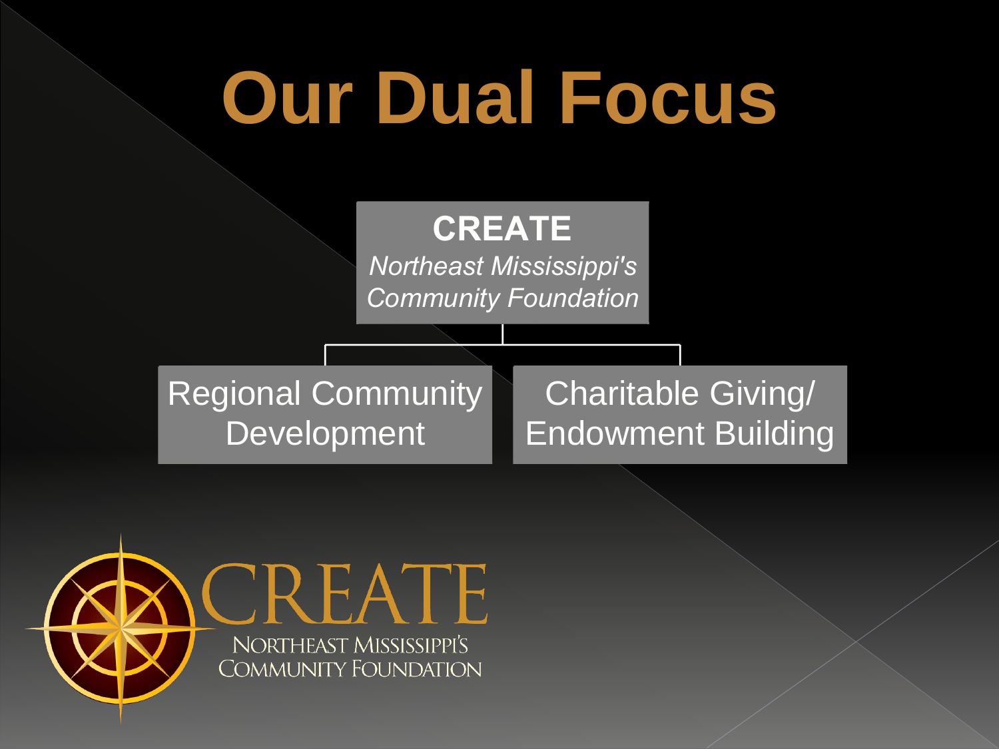

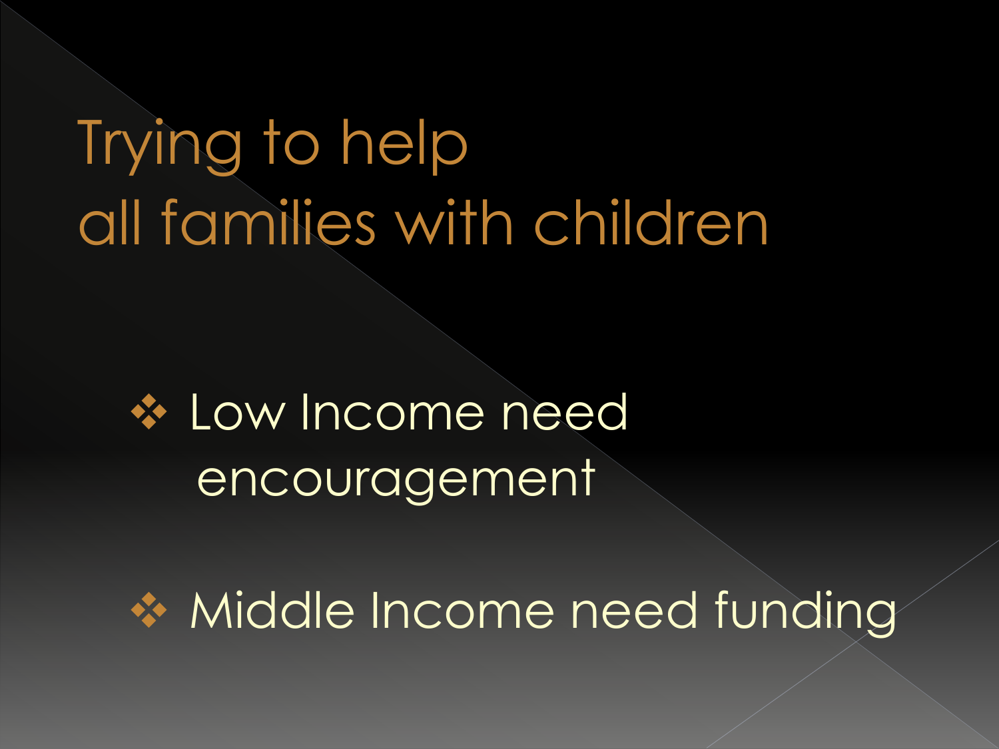# Trying to help all families with children

#### **❖ Low Income need** encouragement

◆ Middle Income need funding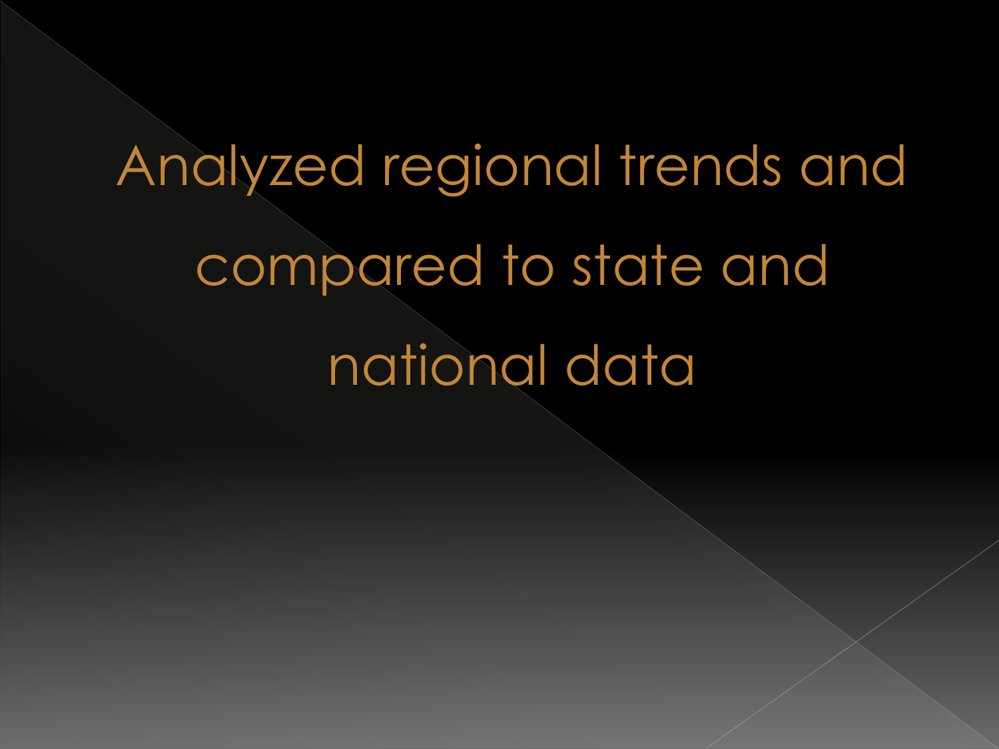# Analyzed regional trends and compared to state and national data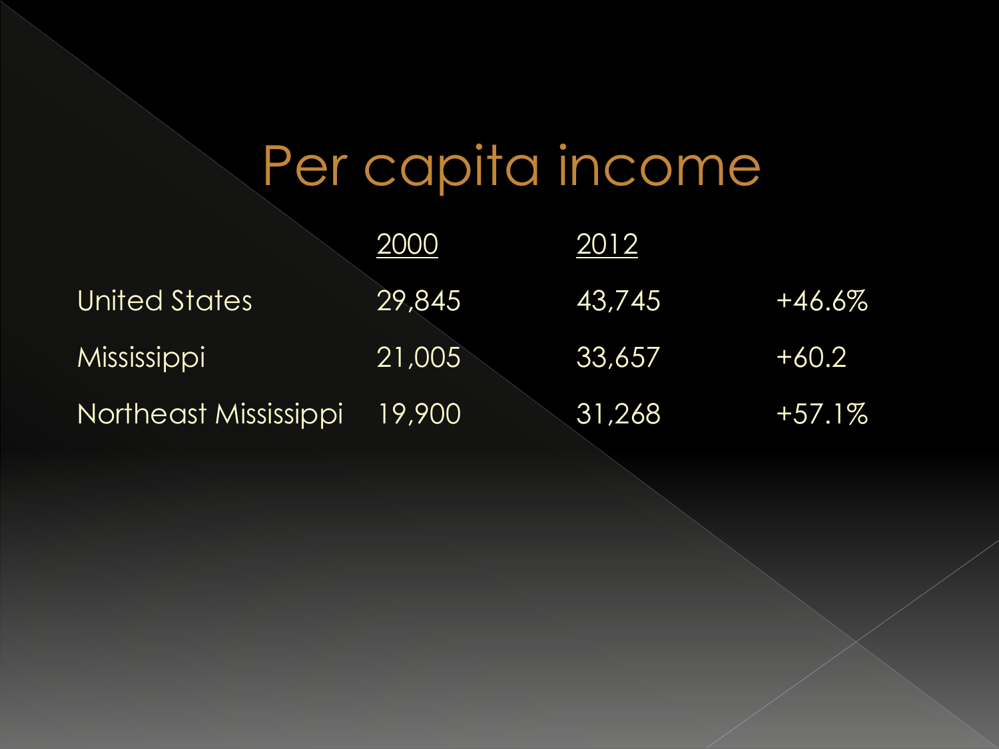# Per capita income

|                          | 2000            | 2012            |           |
|--------------------------|-----------------|-----------------|-----------|
| <b>United States</b>     | 29,845          | <u> 43,745 </u> | $+46.6\%$ |
| Mississippi <sup>1</sup> | $\sqrt{21,005}$ | 33,657          | $+60.2$   |
| Northeast Mississippi    | 19,900          | 31,268          | $+57.1\%$ |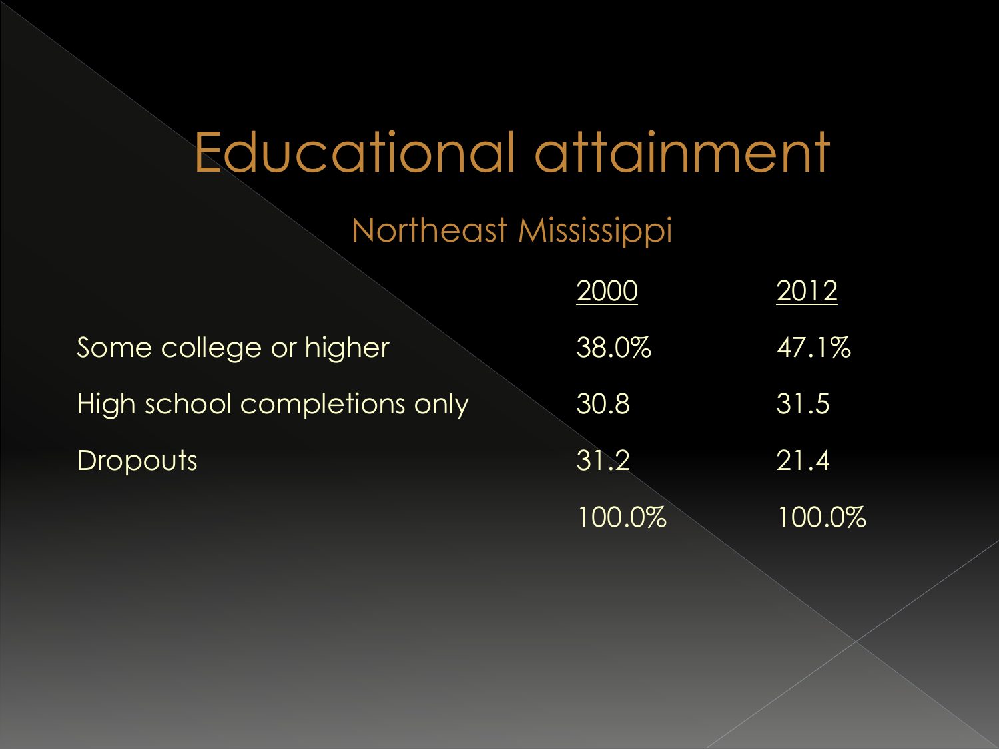### Educational attainment

Northeast Mississippi

|                              | 2000   | 2012   |
|------------------------------|--------|--------|
| Some college or higher       | 38.0%  | 47.1%  |
| High school completions only | 30.8   | 31.5   |
| <b>Dropouts</b>              | 31.2   | 21.4   |
|                              | 100.0% | 100.0% |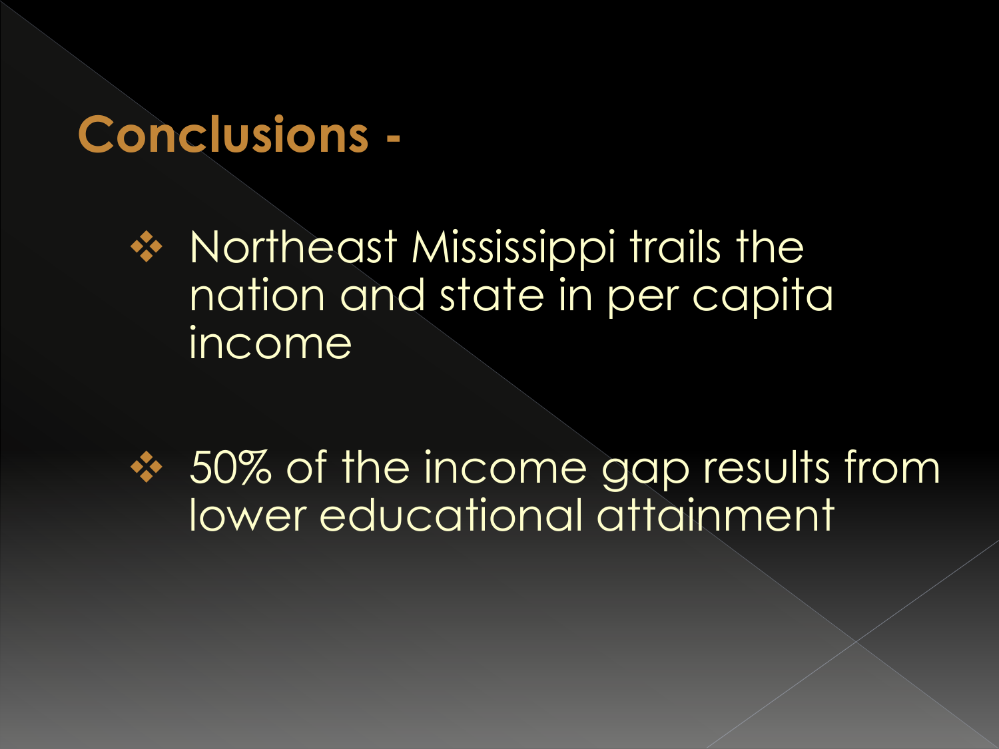#### **Conclusions -**

**❖ Northeast Mississippi trails the** nation and state in per capita income

**❖ 50% of the income gap results from** lower educational attainment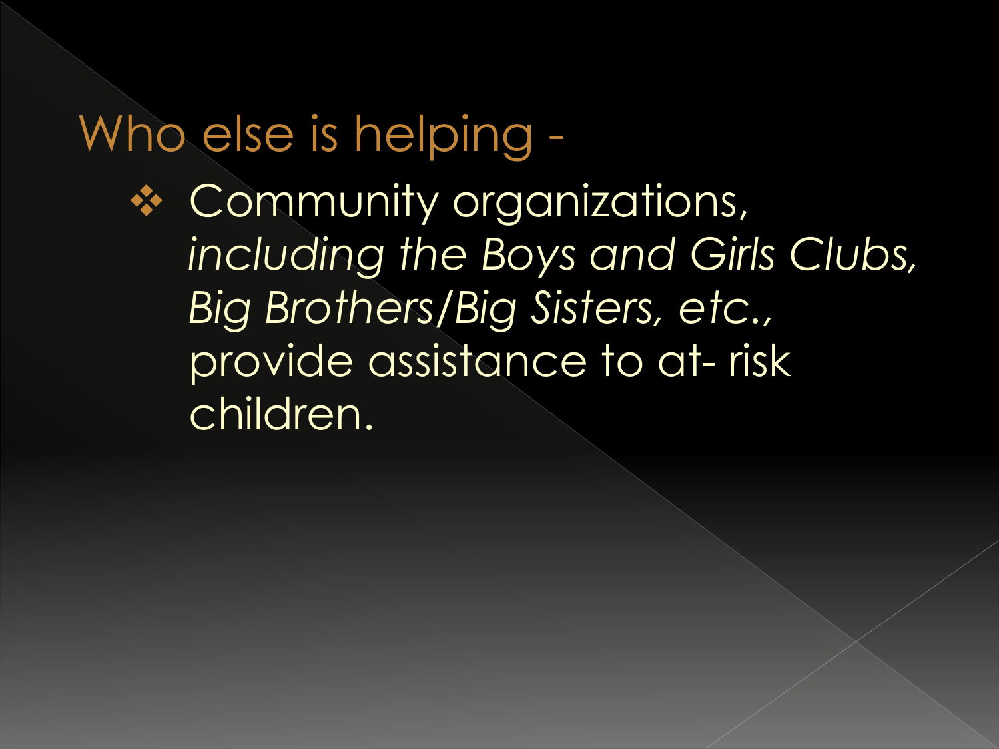#### Who else is helping -

**❖ Community organizations,** *including the Boys and Girls Clubs, Big Brothers/Big Sisters, etc.,*  provide assistance to at- risk children.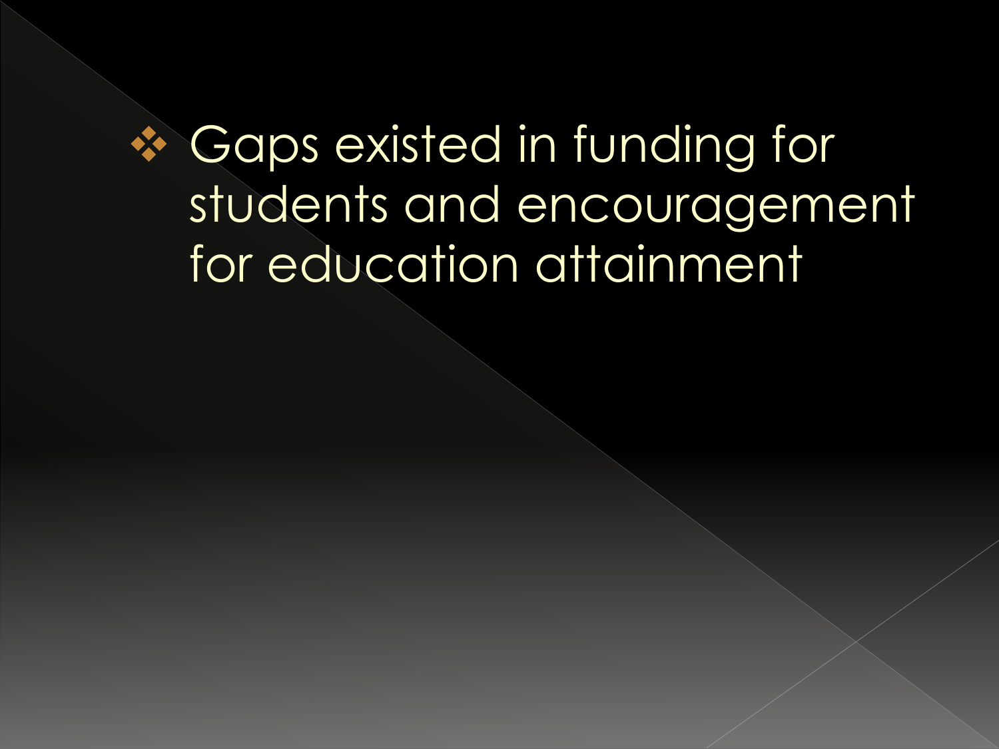#### Gaps existed in funding for students and encouragement for education attainment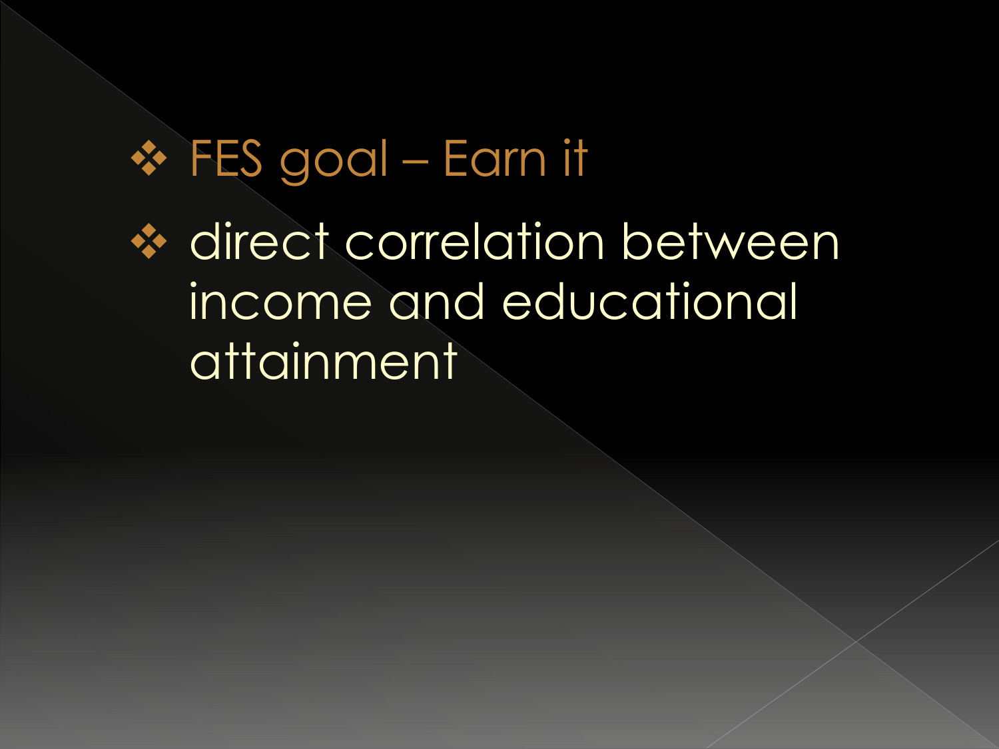FES goal – Earn it **☆ direct correlation between** income and educational attainment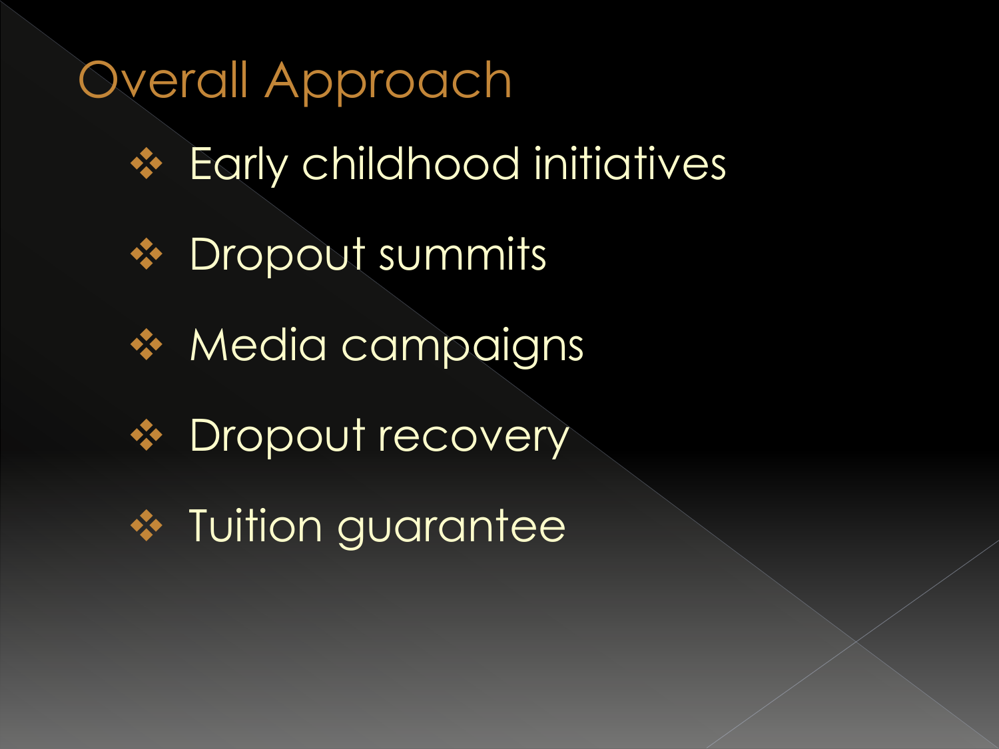#### Overall Approach

- **❖ Early childhood initiatives**
- **❖** Dropout summits
- \* Media campaigns
- **❖** Dropout recovery
- **❖** Tuition guarantee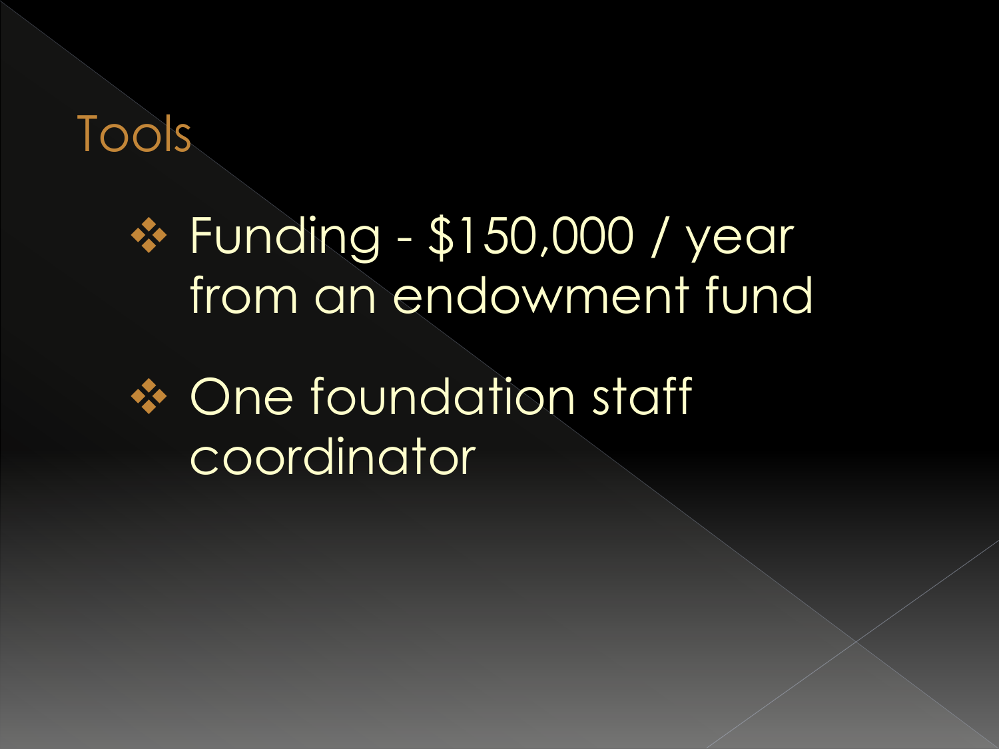Tools

#### **\* Funding - \$150,000 / year** from an endowment fund

#### **❖ One foundation staff** coordinator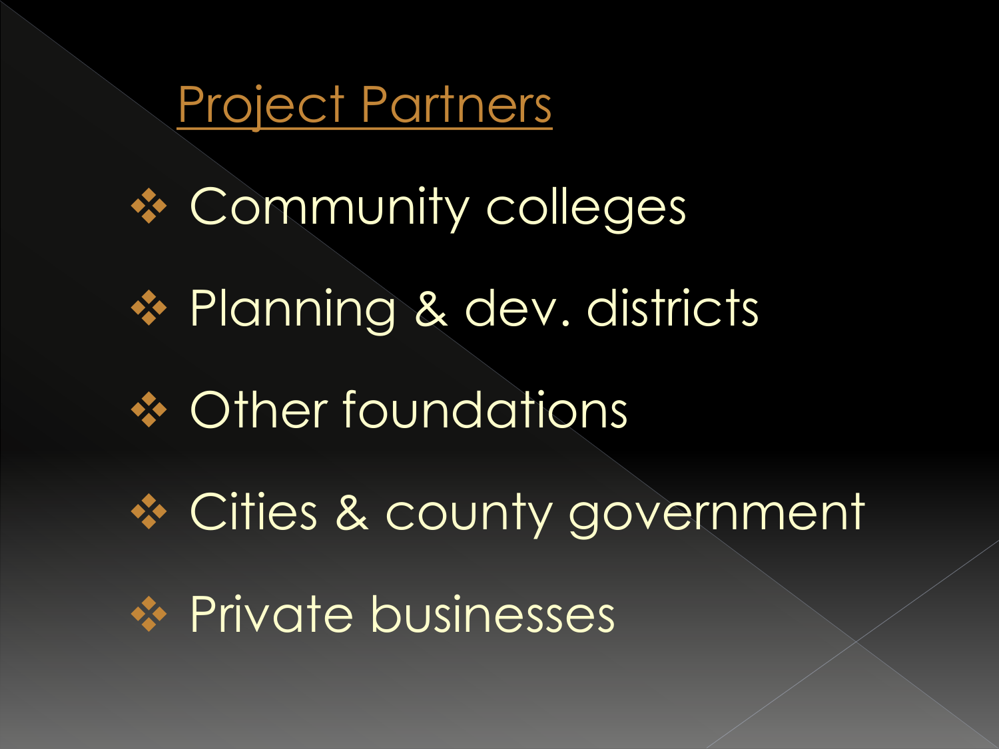

\* Community colleges ◆ Planning & dev. districts **❖ Other foundations ❖ Cities & county government** \* Private businesses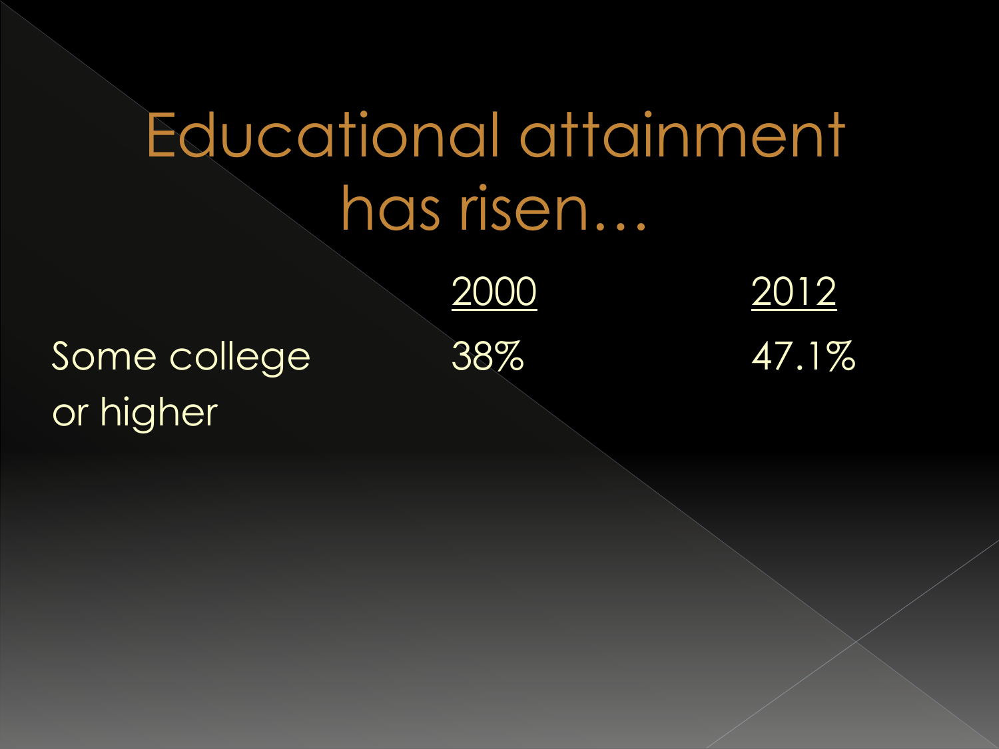# Educational attainment has risen…

2000 2012

Some college 38% 47.1% or higher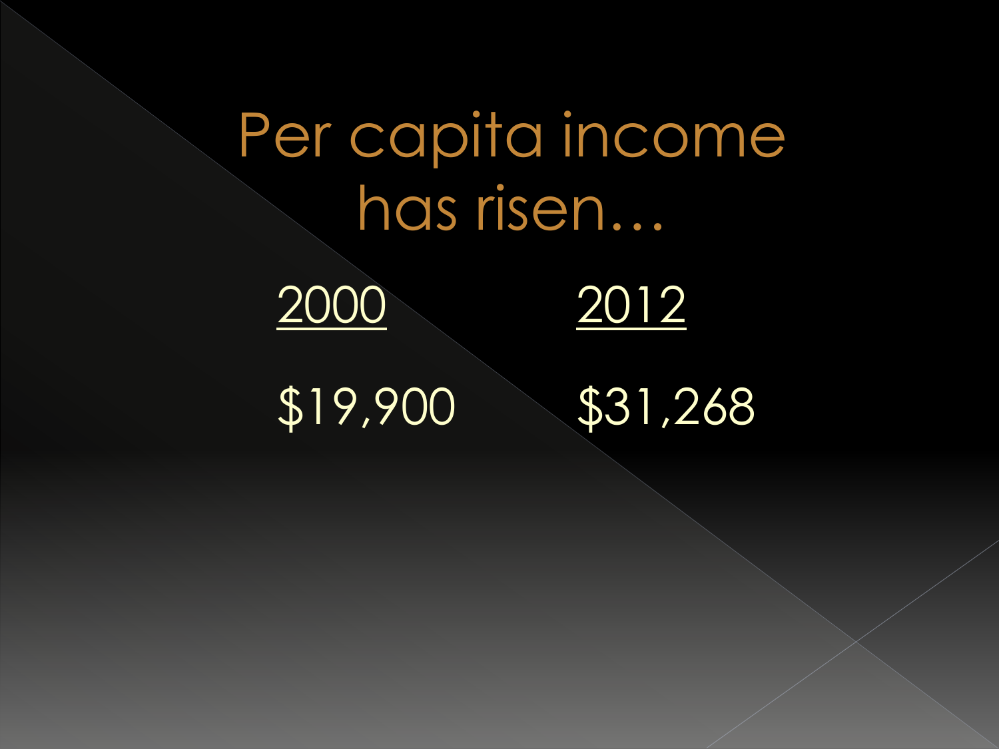# Per capita income has risen… 2000 2012 \$19,900 \$31,268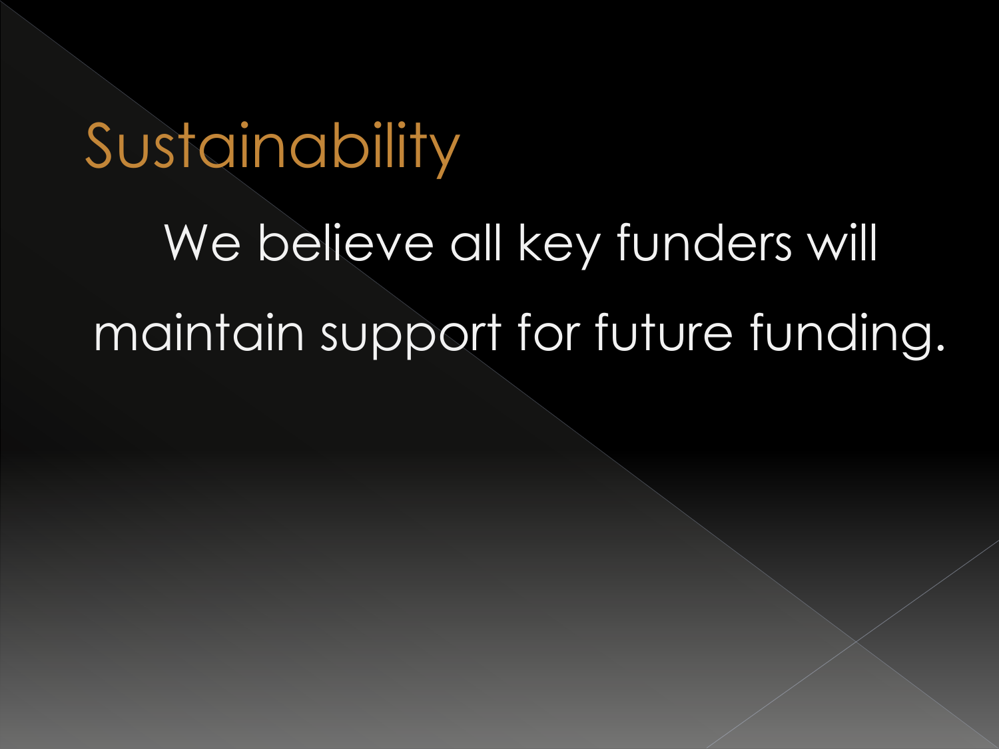## Sustainability

We believe all key funders will maintain support for future funding.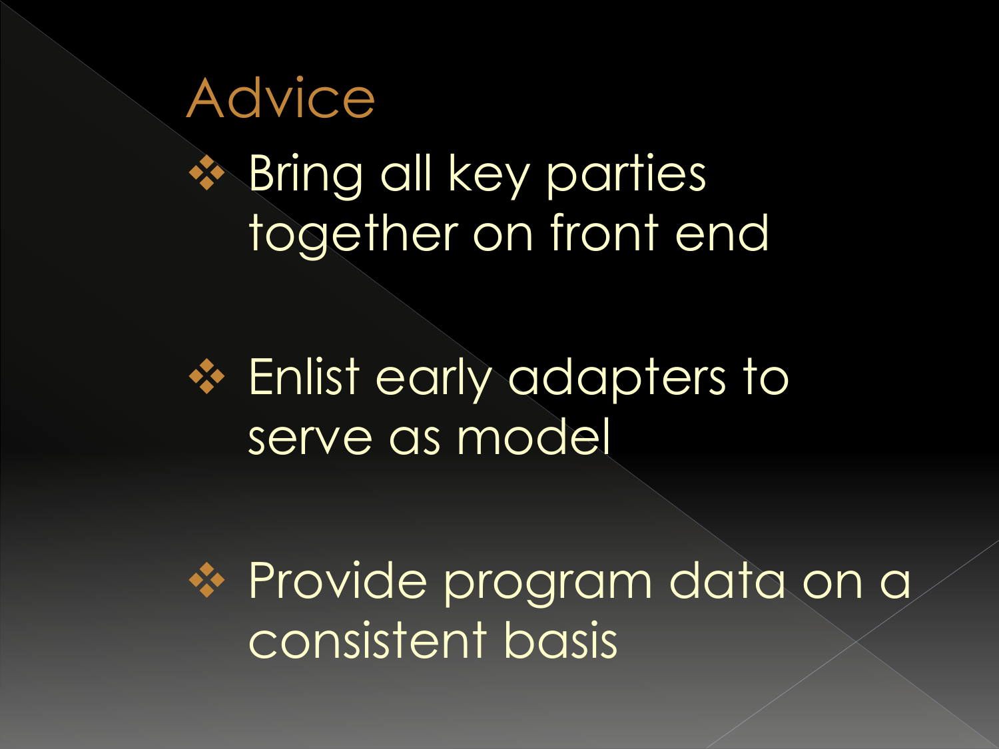Advice **<sup>◆</sup> Bring all key parties** together on front end

**❖ Enlist early adapters to** serve as model

**→ Provide program data on a** consistent basis